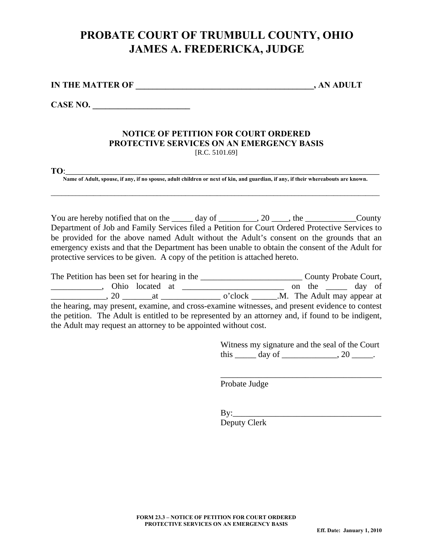## **PROBATE COURT OF TRUMBULL COUNTY, OHIO JAMES A. FREDERICKA, JUDGE**

**IN THE MATTER OF**   $\qquad \qquad$  , AN ADULT

**CASE NO. \_\_\_\_\_\_\_\_\_\_\_\_\_\_\_\_\_\_\_\_\_\_\_** 

## **NOTICE OF PETITION FOR COURT ORDERED PROTECTIVE SERVICES ON AN EMERGENCY BASIS**  [R.C. 5101.69]

**TO**:\_\_\_\_\_\_\_\_\_\_\_\_\_\_\_\_\_\_\_\_\_\_\_\_\_\_\_\_\_\_\_\_\_\_\_\_\_\_\_\_\_\_\_\_\_\_\_\_\_\_\_\_\_\_\_\_\_\_\_\_\_\_\_\_\_\_\_\_\_\_\_\_\_\_

**Name of Adult, spouse, if any, if no spouse, adult children or next of kin, and guardian, if any, if their whereabouts are known.**  \_\_\_\_\_\_\_\_\_\_\_\_\_\_\_\_\_\_\_\_\_\_\_\_\_\_\_\_\_\_\_\_\_\_\_\_\_\_\_\_\_\_\_\_\_\_\_\_\_\_\_\_\_\_\_\_\_\_\_\_\_\_\_\_\_\_\_\_\_\_\_\_\_\_\_\_\_\_\_\_\_\_\_\_\_\_\_\_\_\_\_\_\_

You are hereby notified that on the \_\_\_\_\_ day of \_\_\_\_\_\_\_\_, 20 \_\_\_\_, the \_\_\_\_\_\_\_\_\_\_\_\_\_\_\_\_\_\_\_County Department of Job and Family Services filed a Petition for Court Ordered Protective Services to be provided for the above named Adult without the Adult's consent on the grounds that an emergency exists and that the Department has been unable to obtain the consent of the Adult for protective services to be given. A copy of the petition is attached hereto.

The Petition has been set for hearing in the \_\_\_\_\_\_\_\_\_\_\_\_\_\_\_\_\_\_\_\_\_\_\_\_\_\_\_\_\_\_\_\_\_County Probate Court, \_\_\_\_\_\_\_\_\_\_\_\_, Ohio located at \_\_\_\_\_\_\_\_\_\_\_\_\_\_\_\_\_\_\_\_\_\_\_\_ on the \_\_\_\_\_ day of \_\_\_\_\_\_\_\_\_\_\_\_\_, 20 \_\_\_\_\_\_\_at \_\_\_\_\_\_\_\_\_\_\_\_\_\_ o'clock \_\_\_\_\_\_.M. The Adult may appear at the hearing, may present, examine, and cross-examine witnesses, and present evidence to contest the petition. The Adult is entitled to be represented by an attorney and, if found to be indigent, the Adult may request an attorney to be appointed without cost.

> Witness my signature and the seal of the Court this  $\frac{day}{}$  of  $\frac{1}{20}$ .

\_\_\_\_\_\_\_\_\_\_\_\_\_\_\_\_\_\_\_\_\_\_\_\_\_\_\_\_\_\_\_\_\_\_\_\_\_\_

Probate Judge

 $\mathbf{B} \mathbf{v}$ : Deputy Clerk